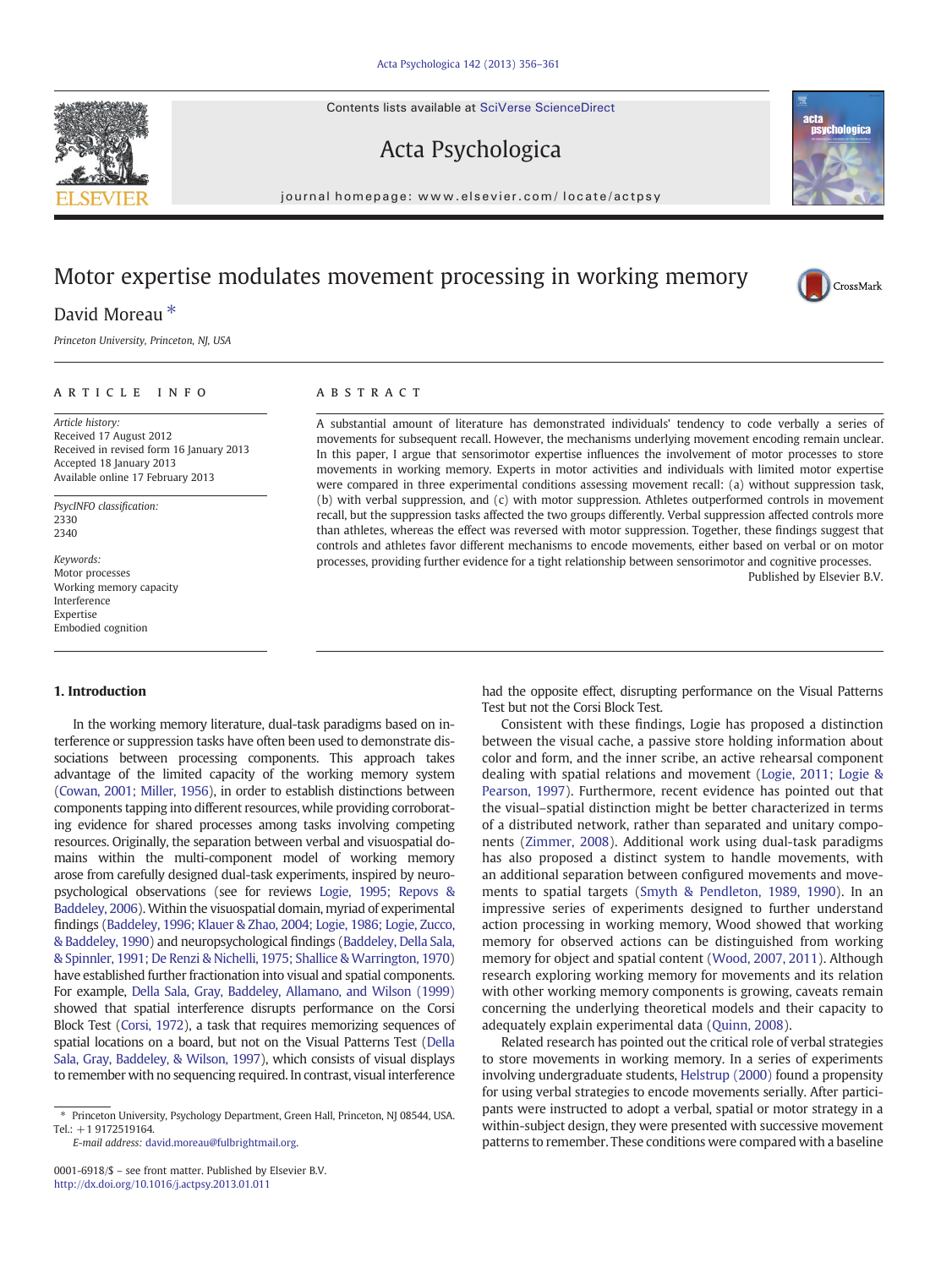Contents lists available at SciVerse ScienceDirect

# Acta Psychologica

journal homepage: www.elsevier.com/ locate/actpsy

## Motor expertise modulates movement processing in working memory

## David Moreau<sup>\*</sup>

Princeton University, Princeton, NJ, USA

#### ARTICLE INFO ABSTRACT

Article history: Received 17 August 2012 Received in revised form 16 January 2013 Accepted 18 January 2013 Available online 17 February 2013

PsycINFO classification: 2330 2340

Keywords: Motor processes Working memory capacity Interference Expertise Embodied cognition

#### 1. Introduction

In the working memory literature, dual-task paradigms based on interference or suppression tasks have often been used to demonstrate dissociations between processing components. This approach takes advantage of the limited capacity of the working memory system [\(Cowan, 2001; Miller, 1956](#page-4-0)), in order to establish distinctions between components tapping into different resources, while providing corroborating evidence for shared processes among tasks involving competing resources. Originally, the separation between verbal and visuospatial domains within the multi-component model of working memory arose from carefully designed dual-task experiments, inspired by neuropsychological observations (see for reviews [Logie, 1995; Repovs &](#page-5-0) [Baddeley, 2006](#page-5-0)). Within the visuospatial domain, myriad of experimental findings [\(Baddeley, 1996; Klauer & Zhao, 2004; Logie, 1986; Logie, Zucco,](#page-4-0) [& Baddeley, 1990](#page-4-0)) and neuropsychological findings [\(Baddeley, Della Sala,](#page-4-0) [& Spinnler, 1991; De Renzi & Nichelli, 1975; Shallice & Warrington, 1970](#page-4-0)) have established further fractionation into visual and spatial components. For example, Della Sala, Gray, Baddeley, [Allamano, and Wilson \(1999\)](#page-4-0) showed that spatial interference disrupts performance on the Corsi Block Test ([Corsi, 1972\)](#page-4-0), a task that requires memorizing sequences of spatial locations on a board, but not on the Visual Patterns Test [\(Della](#page-4-0) [Sala, Gray, Baddeley, & Wilson, 1997\)](#page-4-0), which consists of visual displays to remember with no sequencing required. In contrast, visual interference

E-mail address: [david.moreau@fulbrightmail.org](mailto:david.moreau@fulbrightmail.org).

0001-6918/\$ – see front matter. Published by Elsevier B.V. <http://dx.doi.org/10.1016/j.actpsy.2013.01.011>

A substantial amount of literature has demonstrated individuals' tendency to code verbally a series of movements for subsequent recall. However, the mechanisms underlying movement encoding remain unclear. In this paper, I argue that sensorimotor expertise influences the involvement of motor processes to store movements in working memory. Experts in motor activities and individuals with limited motor expertise were compared in three experimental conditions assessing movement recall: (a) without suppression task, (b) with verbal suppression, and (c) with motor suppression. Athletes outperformed controls in movement recall, but the suppression tasks affected the two groups differently. Verbal suppression affected controls more than athletes, whereas the effect was reversed with motor suppression. Together, these findings suggest that controls and athletes favor different mechanisms to encode movements, either based on verbal or on motor processes, providing further evidence for a tight relationship between sensorimotor and cognitive processes. Published by Elsevier B.V.

> had the opposite effect, disrupting performance on the Visual Patterns Test but not the Corsi Block Test.

> Consistent with these findings, Logie has proposed a distinction between the visual cache, a passive store holding information about color and form, and the inner scribe, an active rehearsal component dealing with spatial relations and movement ([Logie, 2011; Logie &](#page-5-0) [Pearson, 1997\)](#page-5-0). Furthermore, recent evidence has pointed out that the visual–spatial distinction might be better characterized in terms of a distributed network, rather than separated and unitary components ([Zimmer, 2008](#page-5-0)). Additional work using dual-task paradigms has also proposed a distinct system to handle movements, with an additional separation between configured movements and movements to spatial targets ([Smyth & Pendleton, 1989, 1990](#page-5-0)). In an impressive series of experiments designed to further understand action processing in working memory, Wood showed that working memory for observed actions can be distinguished from working memory for object and spatial content ([Wood, 2007, 2011\)](#page-5-0). Although research exploring working memory for movements and its relation with other working memory components is growing, caveats remain concerning the underlying theoretical models and their capacity to adequately explain experimental data ([Quinn, 2008](#page-5-0)).

> Related research has pointed out the critical role of verbal strategies to store movements in working memory. In a series of experiments involving undergraduate students, [Helstrup \(2000\)](#page-4-0) found a propensity for using verbal strategies to encode movements serially. After participants were instructed to adopt a verbal, spatial or motor strategy in a within-subject design, they were presented with successive movement patterns to remember. These conditions were compared with a baseline





CrossMark

<sup>⁎</sup> Princeton University, Psychology Department, Green Hall, Princeton, NJ 08544, USA. Tel.: +1 9172519164.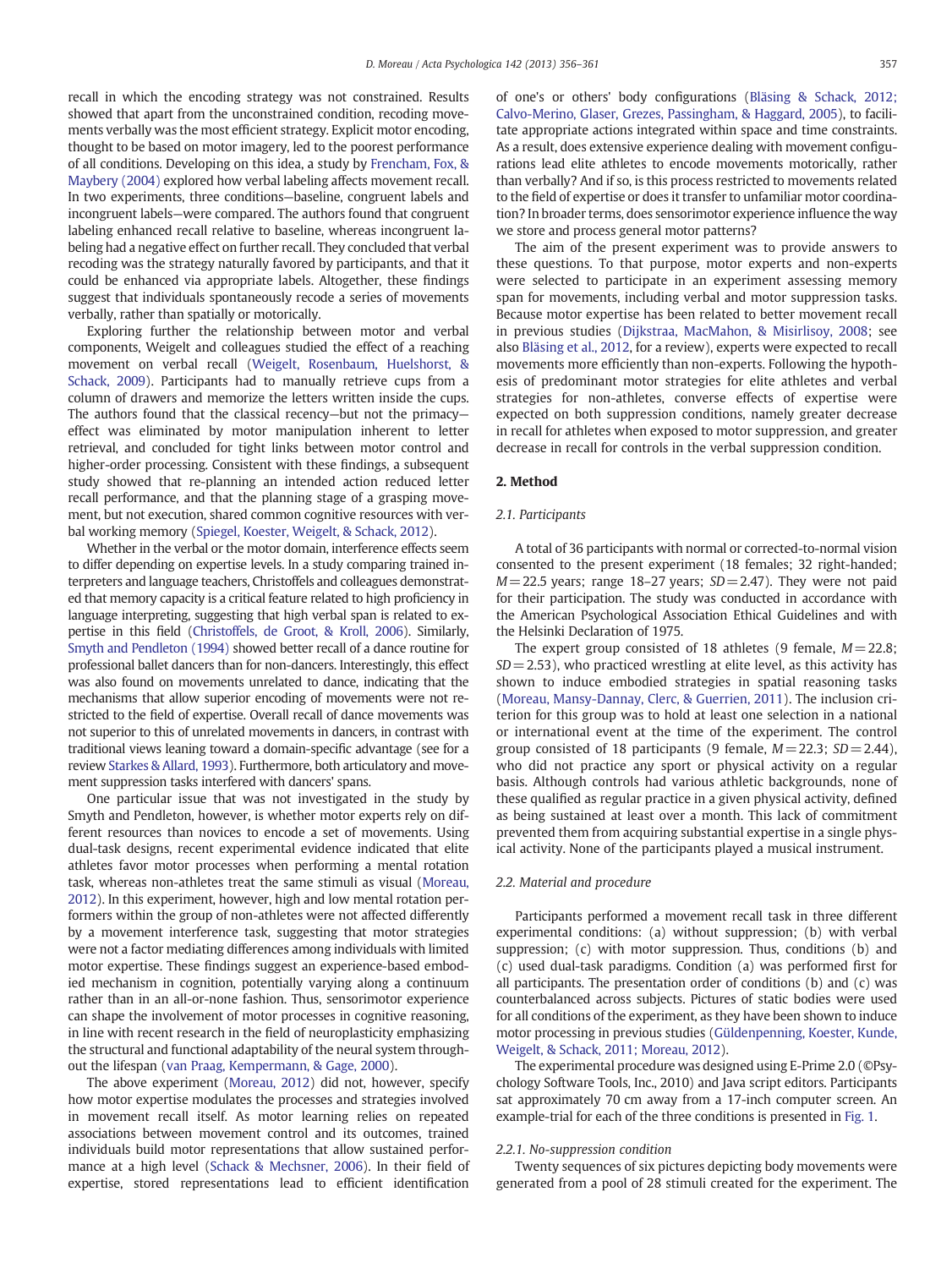recall in which the encoding strategy was not constrained. Results showed that apart from the unconstrained condition, recoding movements verbally was the most efficient strategy. Explicit motor encoding, thought to be based on motor imagery, led to the poorest performance of all conditions. Developing on this idea, a study by [Frencham, Fox, &](#page-4-0) [Maybery \(2004\)](#page-4-0) explored how verbal labeling affects movement recall. In two experiments, three conditions—baseline, congruent labels and incongruent labels—were compared. The authors found that congruent labeling enhanced recall relative to baseline, whereas incongruent labeling had a negative effect on further recall. They concluded that verbal recoding was the strategy naturally favored by participants, and that it could be enhanced via appropriate labels. Altogether, these findings suggest that individuals spontaneously recode a series of movements verbally, rather than spatially or motorically.

Exploring further the relationship between motor and verbal components, Weigelt and colleagues studied the effect of a reaching movement on verbal recall ([Weigelt, Rosenbaum, Huelshorst, &](#page-5-0) [Schack, 2009\)](#page-5-0). Participants had to manually retrieve cups from a column of drawers and memorize the letters written inside the cups. The authors found that the classical recency—but not the primacy effect was eliminated by motor manipulation inherent to letter retrieval, and concluded for tight links between motor control and higher-order processing. Consistent with these findings, a subsequent study showed that re-planning an intended action reduced letter recall performance, and that the planning stage of a grasping movement, but not execution, shared common cognitive resources with verbal working memory [\(Spiegel, Koester, Weigelt, & Schack, 2012](#page-5-0)).

Whether in the verbal or the motor domain, interference effects seem to differ depending on expertise levels. In a study comparing trained interpreters and language teachers, Christoffels and colleagues demonstrated that memory capacity is a critical feature related to high proficiency in language interpreting, suggesting that high verbal span is related to expertise in this field ([Christoffels, de Groot, & Kroll, 2006](#page-4-0)). Similarly, [Smyth and Pendleton \(1994\)](#page-5-0) showed better recall of a dance routine for professional ballet dancers than for non-dancers. Interestingly, this effect was also found on movements unrelated to dance, indicating that the mechanisms that allow superior encoding of movements were not restricted to the field of expertise. Overall recall of dance movements was not superior to this of unrelated movements in dancers, in contrast with traditional views leaning toward a domain-specific advantage (see for a review [Starkes & Allard, 1993](#page-5-0)). Furthermore, both articulatory and movement suppression tasks interfered with dancers' spans.

One particular issue that was not investigated in the study by Smyth and Pendleton, however, is whether motor experts rely on different resources than novices to encode a set of movements. Using dual-task designs, recent experimental evidence indicated that elite athletes favor motor processes when performing a mental rotation task, whereas non-athletes treat the same stimuli as visual [\(Moreau,](#page-5-0) [2012](#page-5-0)). In this experiment, however, high and low mental rotation performers within the group of non-athletes were not affected differently by a movement interference task, suggesting that motor strategies were not a factor mediating differences among individuals with limited motor expertise. These findings suggest an experience-based embodied mechanism in cognition, potentially varying along a continuum rather than in an all-or-none fashion. Thus, sensorimotor experience can shape the involvement of motor processes in cognitive reasoning, in line with recent research in the field of neuroplasticity emphasizing the structural and functional adaptability of the neural system throughout the lifespan [\(van Praag, Kempermann, & Gage, 2000\)](#page-5-0).

The above experiment [\(Moreau, 2012\)](#page-5-0) did not, however, specify how motor expertise modulates the processes and strategies involved in movement recall itself. As motor learning relies on repeated associations between movement control and its outcomes, trained individuals build motor representations that allow sustained performance at a high level ([Schack & Mechsner, 2006\)](#page-5-0). In their field of expertise, stored representations lead to efficient identification

of one's or others' body configurations [\(Bläsing & Schack, 2012;](#page-4-0) [Calvo-Merino, Glaser, Grezes, Passingham, & Haggard, 2005](#page-4-0)), to facilitate appropriate actions integrated within space and time constraints. As a result, does extensive experience dealing with movement configurations lead elite athletes to encode movements motorically, rather than verbally? And if so, is this process restricted to movements related to the field of expertise or does it transfer to unfamiliar motor coordination? In broader terms, does sensorimotor experience influence the way we store and process general motor patterns?

The aim of the present experiment was to provide answers to these questions. To that purpose, motor experts and non-experts were selected to participate in an experiment assessing memory span for movements, including verbal and motor suppression tasks. Because motor expertise has been related to better movement recall in previous studies ([Dijkstraa, MacMahon, & Misirlisoy, 2008](#page-4-0); see also [Bläsing et al., 2012](#page-4-0), for a review), experts were expected to recall movements more efficiently than non-experts. Following the hypothesis of predominant motor strategies for elite athletes and verbal strategies for non-athletes, converse effects of expertise were expected on both suppression conditions, namely greater decrease in recall for athletes when exposed to motor suppression, and greater decrease in recall for controls in the verbal suppression condition.

#### 2. Method

#### 2.1. Participants

A total of 36 participants with normal or corrected-to-normal vision consented to the present experiment (18 females; 32 right-handed;  $M=22.5$  years; range 18-27 years;  $SD=2.47$ ). They were not paid for their participation. The study was conducted in accordance with the American Psychological Association Ethical Guidelines and with the Helsinki Declaration of 1975.

The expert group consisted of 18 athletes (9 female,  $M = 22.8$ ;  $SD = 2.53$ ), who practiced wrestling at elite level, as this activity has shown to induce embodied strategies in spatial reasoning tasks [\(Moreau, Mansy-Dannay, Clerc, & Guerrien, 2011](#page-5-0)). The inclusion criterion for this group was to hold at least one selection in a national or international event at the time of the experiment. The control group consisted of 18 participants (9 female,  $M=22.3$ ;  $SD=2.44$ ), who did not practice any sport or physical activity on a regular basis. Although controls had various athletic backgrounds, none of these qualified as regular practice in a given physical activity, defined as being sustained at least over a month. This lack of commitment prevented them from acquiring substantial expertise in a single physical activity. None of the participants played a musical instrument.

#### 2.2. Material and procedure

Participants performed a movement recall task in three different experimental conditions: (a) without suppression; (b) with verbal suppression; (c) with motor suppression. Thus, conditions (b) and (c) used dual-task paradigms. Condition (a) was performed first for all participants. The presentation order of conditions (b) and (c) was counterbalanced across subjects. Pictures of static bodies were used for all conditions of the experiment, as they have been shown to induce motor processing in previous studies [\(Güldenpenning, Koester, Kunde,](#page-4-0) [Weigelt, & Schack, 2011; Moreau, 2012\)](#page-4-0).

The experimental procedure was designed using E-Prime 2.0 (©Psychology Software Tools, Inc., 2010) and Java script editors. Participants sat approximately 70 cm away from a 17-inch computer screen. An example-trial for each of the three conditions is presented in [Fig. 1](#page-2-0).

#### 2.2.1. No-suppression condition

Twenty sequences of six pictures depicting body movements were generated from a pool of 28 stimuli created for the experiment. The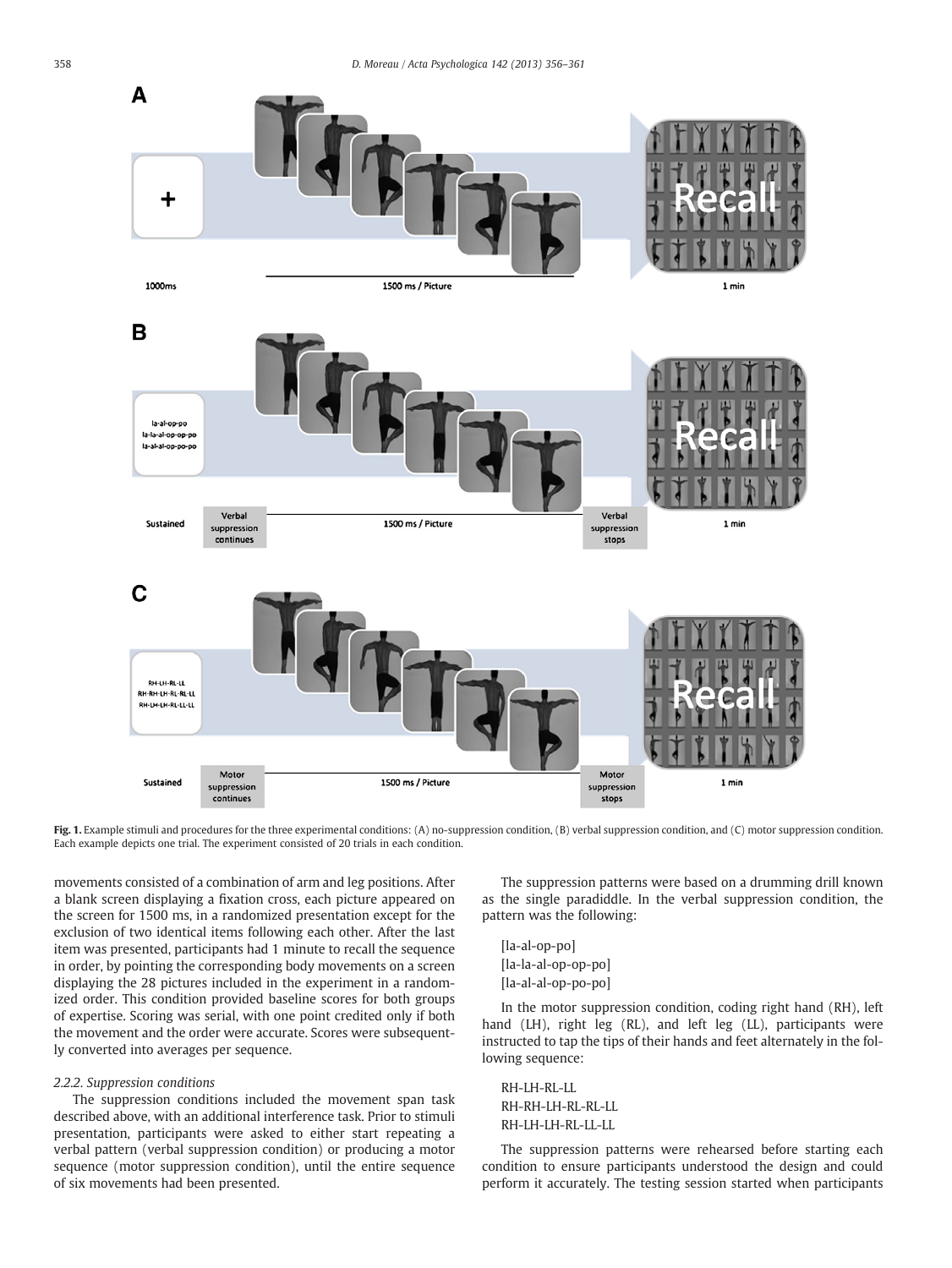<span id="page-2-0"></span>

Fig. 1. Example stimuli and procedures for the three experimental conditions: (A) no-suppression condition, (B) verbal suppression condition, and (C) motor suppression condition. Each example depicts one trial. The experiment consisted of 20 trials in each condition.

movements consisted of a combination of arm and leg positions. After a blank screen displaying a fixation cross, each picture appeared on the screen for 1500 ms, in a randomized presentation except for the exclusion of two identical items following each other. After the last item was presented, participants had 1 minute to recall the sequence in order, by pointing the corresponding body movements on a screen displaying the 28 pictures included in the experiment in a randomized order. This condition provided baseline scores for both groups of expertise. Scoring was serial, with one point credited only if both the movement and the order were accurate. Scores were subsequently converted into averages per sequence.

#### 2.2.2. Suppression conditions

The suppression conditions included the movement span task described above, with an additional interference task. Prior to stimuli presentation, participants were asked to either start repeating a verbal pattern (verbal suppression condition) or producing a motor sequence (motor suppression condition), until the entire sequence of six movements had been presented.

The suppression patterns were based on a drumming drill known as the single paradiddle. In the verbal suppression condition, the pattern was the following:

[la-al-op-po] [la-la-al-op-op-po] [la-al-al-op-po-po]

In the motor suppression condition, coding right hand (RH), left hand (LH), right leg (RL), and left leg (LL), participants were instructed to tap the tips of their hands and feet alternately in the following sequence:

RH-LH-RL-LL RH-RH-LH-RL-RL-LL RH-LH-LH-RL-LL-LL

The suppression patterns were rehearsed before starting each condition to ensure participants understood the design and could perform it accurately. The testing session started when participants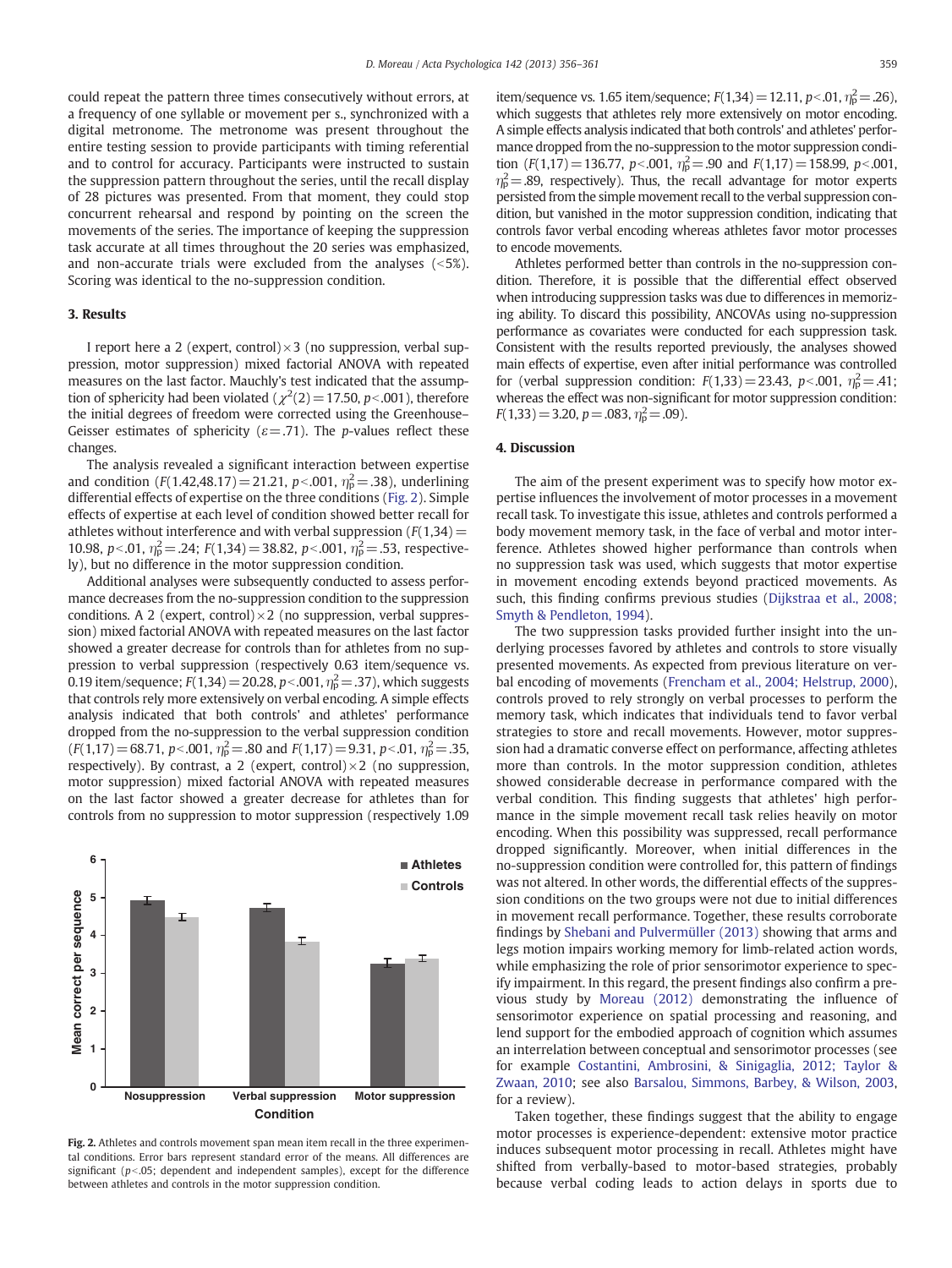could repeat the pattern three times consecutively without errors, at a frequency of one syllable or movement per s., synchronized with a digital metronome. The metronome was present throughout the entire testing session to provide participants with timing referential and to control for accuracy. Participants were instructed to sustain the suppression pattern throughout the series, until the recall display of 28 pictures was presented. From that moment, they could stop concurrent rehearsal and respond by pointing on the screen the movements of the series. The importance of keeping the suppression task accurate at all times throughout the 20 series was emphasized, and non-accurate trials were excluded from the analyses  $(5\%)$ . Scoring was identical to the no-suppression condition.

### 3. Results

I report here a 2 (expert, control) $\times$ 3 (no suppression, verbal suppression, motor suppression) mixed factorial ANOVA with repeated measures on the last factor. Mauchly's test indicated that the assumption of sphericity had been violated ( $\chi^2(2)$  = 17.50, p<.001), therefore the initial degrees of freedom were corrected using the Greenhouse– Geisser estimates of sphericity ( $\varepsilon$  = .71). The p-values reflect these changes.

The analysis revealed a significant interaction between expertise and condition  $(F(1.42, 48.17) = 21.21, p<.001, \eta_p^2 = .38)$ , underlining differential effects of expertise on the three conditions (Fig. 2). Simple effects of expertise at each level of condition showed better recall for athletes without interference and with verbal suppression  $(F(1,34)$  = 10.98, p < .01,  $\eta_{\rm p}^2$  = .24; F(1,34) = 38.82, p < .001,  $\eta_{\rm p}^2$  = .53, respectively), but no difference in the motor suppression condition.

Additional analyses were subsequently conducted to assess performance decreases from the no-suppression condition to the suppression conditions. A 2 (expert, control) $\times$ 2 (no suppression, verbal suppression) mixed factorial ANOVA with repeated measures on the last factor showed a greater decrease for controls than for athletes from no suppression to verbal suppression (respectively 0.63 item/sequence vs. 0.19 item/sequence; F(1,34) = 20.28, p<.001,  $\eta_{\rm p}^2$  = .37), which suggests that controls rely more extensively on verbal encoding. A simple effects analysis indicated that both controls' and athletes' performance dropped from the no-suppression to the verbal suppression condition  $(F(1,17)=68.71, p<.001, \eta_p^2=.80$  and  $F(1,17)=9.31, p<.01, \eta_p^2=.35,$ respectively). By contrast, a 2 (expert, control) $\times$ 2 (no suppression, motor suppression) mixed factorial ANOVA with repeated measures on the last factor showed a greater decrease for athletes than for controls from no suppression to motor suppression (respectively 1.09



Fig. 2. Athletes and controls movement span mean item recall in the three experimental conditions. Error bars represent standard error of the means. All differences are significant ( $p$ <.05; dependent and independent samples), except for the difference between athletes and controls in the motor suppression condition.

item/sequence vs. 1.65 item/sequence;  $F(1,34) = 12.11$ ,  $p<.01$ ,  $\eta_p^2 = .26$ ), which suggests that athletes rely more extensively on motor encoding. A simple effects analysis indicated that both controls' and athletes' performance dropped from the no-suppression to the motor suppression condition  $(F(1,17)=136.77, p<.001, \eta_p^2=.90$  and  $F(1,17)=158.99, p<.001,$  $\eta_{\rm p}^2$ =.89, respectively). Thus, the recall advantage for motor experts persisted from the simple movement recall to the verbal suppression condition, but vanished in the motor suppression condition, indicating that controls favor verbal encoding whereas athletes favor motor processes to encode movements.

Athletes performed better than controls in the no-suppression condition. Therefore, it is possible that the differential effect observed when introducing suppression tasks was due to differences in memorizing ability. To discard this possibility, ANCOVAs using no-suppression performance as covariates were conducted for each suppression task. Consistent with the results reported previously, the analyses showed main effects of expertise, even after initial performance was controlled for (verbal suppression condition:  $F(1,33) = 23.43$ ,  $p < .001$ ,  $\eta_p^2 = .41$ ; whereas the effect was non-significant for motor suppression condition:  $F(1,33) = 3.20, p = .083, \eta_{\rm p}^2 = .09$ ).

#### 4. Discussion

The aim of the present experiment was to specify how motor expertise influences the involvement of motor processes in a movement recall task. To investigate this issue, athletes and controls performed a body movement memory task, in the face of verbal and motor interference. Athletes showed higher performance than controls when no suppression task was used, which suggests that motor expertise in movement encoding extends beyond practiced movements. As such, this finding confirms previous studies [\(Dijkstraa et al., 2008;](#page-4-0) [Smyth & Pendleton, 1994](#page-4-0)).

The two suppression tasks provided further insight into the underlying processes favored by athletes and controls to store visually presented movements. As expected from previous literature on verbal encoding of movements [\(Frencham et al., 2004; Helstrup, 2000](#page-4-0)), controls proved to rely strongly on verbal processes to perform the memory task, which indicates that individuals tend to favor verbal strategies to store and recall movements. However, motor suppression had a dramatic converse effect on performance, affecting athletes more than controls. In the motor suppression condition, athletes showed considerable decrease in performance compared with the verbal condition. This finding suggests that athletes' high performance in the simple movement recall task relies heavily on motor encoding. When this possibility was suppressed, recall performance dropped significantly. Moreover, when initial differences in the no-suppression condition were controlled for, this pattern of findings was not altered. In other words, the differential effects of the suppression conditions on the two groups were not due to initial differences in movement recall performance. Together, these results corroborate findings by [Shebani and Pulvermüller \(2013\)](#page-5-0) showing that arms and legs motion impairs working memory for limb-related action words, while emphasizing the role of prior sensorimotor experience to specify impairment. In this regard, the present findings also confirm a previous study by [Moreau \(2012\)](#page-5-0) demonstrating the influence of sensorimotor experience on spatial processing and reasoning, and lend support for the embodied approach of cognition which assumes an interrelation between conceptual and sensorimotor processes (see for example [Costantini, Ambrosini, & Sinigaglia, 2012; Taylor &](#page-4-0) [Zwaan, 2010](#page-4-0); see also [Barsalou, Simmons, Barbey, & Wilson, 2003,](#page-4-0) for a review).

Taken together, these findings suggest that the ability to engage motor processes is experience-dependent: extensive motor practice induces subsequent motor processing in recall. Athletes might have shifted from verbally-based to motor-based strategies, probably because verbal coding leads to action delays in sports due to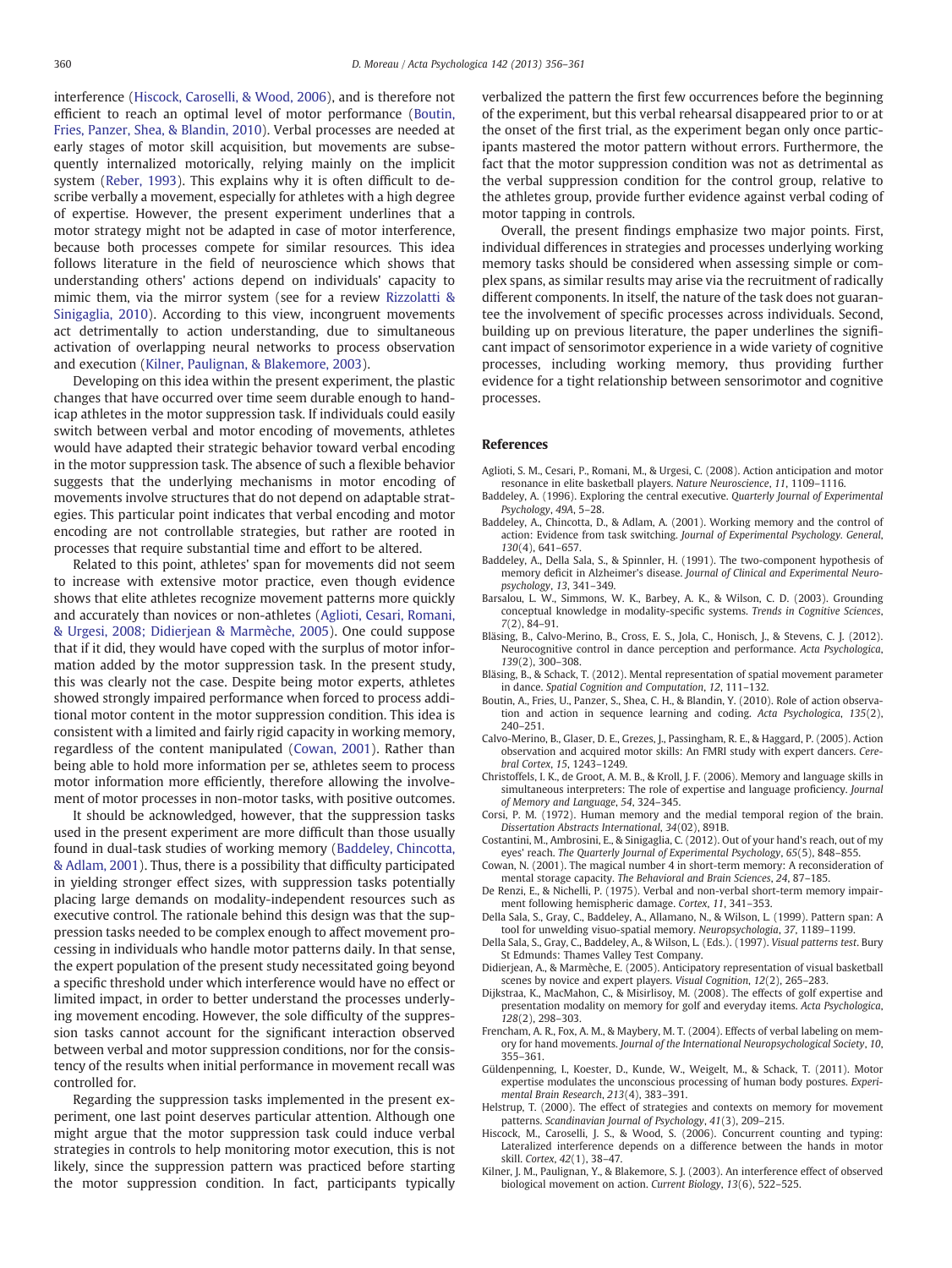<span id="page-4-0"></span>interference (Hiscock, Caroselli, & Wood, 2006), and is therefore not efficient to reach an optimal level of motor performance (Boutin, Fries, Panzer, Shea, & Blandin, 2010). Verbal processes are needed at early stages of motor skill acquisition, but movements are subsequently internalized motorically, relying mainly on the implicit system [\(Reber, 1993\)](#page-5-0). This explains why it is often difficult to describe verbally a movement, especially for athletes with a high degree of expertise. However, the present experiment underlines that a motor strategy might not be adapted in case of motor interference, because both processes compete for similar resources. This idea follows literature in the field of neuroscience which shows that understanding others' actions depend on individuals' capacity to mimic them, via the mirror system (see for a review [Rizzolatti &](#page-5-0) [Sinigaglia, 2010\)](#page-5-0). According to this view, incongruent movements act detrimentally to action understanding, due to simultaneous activation of overlapping neural networks to process observation and execution (Kilner, Paulignan, & Blakemore, 2003).

Developing on this idea within the present experiment, the plastic changes that have occurred over time seem durable enough to handicap athletes in the motor suppression task. If individuals could easily switch between verbal and motor encoding of movements, athletes would have adapted their strategic behavior toward verbal encoding in the motor suppression task. The absence of such a flexible behavior suggests that the underlying mechanisms in motor encoding of movements involve structures that do not depend on adaptable strategies. This particular point indicates that verbal encoding and motor encoding are not controllable strategies, but rather are rooted in processes that require substantial time and effort to be altered.

Related to this point, athletes' span for movements did not seem to increase with extensive motor practice, even though evidence shows that elite athletes recognize movement patterns more quickly and accurately than novices or non-athletes (Aglioti, Cesari, Romani, & Urgesi, 2008; Didierjean & Marmèche, 2005). One could suppose that if it did, they would have coped with the surplus of motor information added by the motor suppression task. In the present study, this was clearly not the case. Despite being motor experts, athletes showed strongly impaired performance when forced to process additional motor content in the motor suppression condition. This idea is consistent with a limited and fairly rigid capacity in working memory, regardless of the content manipulated (Cowan, 2001). Rather than being able to hold more information per se, athletes seem to process motor information more efficiently, therefore allowing the involvement of motor processes in non-motor tasks, with positive outcomes.

It should be acknowledged, however, that the suppression tasks used in the present experiment are more difficult than those usually found in dual-task studies of working memory (Baddeley, Chincotta, & Adlam, 2001). Thus, there is a possibility that difficulty participated in yielding stronger effect sizes, with suppression tasks potentially placing large demands on modality-independent resources such as executive control. The rationale behind this design was that the suppression tasks needed to be complex enough to affect movement processing in individuals who handle motor patterns daily. In that sense, the expert population of the present study necessitated going beyond a specific threshold under which interference would have no effect or limited impact, in order to better understand the processes underlying movement encoding. However, the sole difficulty of the suppression tasks cannot account for the significant interaction observed between verbal and motor suppression conditions, nor for the consistency of the results when initial performance in movement recall was controlled for.

Regarding the suppression tasks implemented in the present experiment, one last point deserves particular attention. Although one might argue that the motor suppression task could induce verbal strategies in controls to help monitoring motor execution, this is not likely, since the suppression pattern was practiced before starting the motor suppression condition. In fact, participants typically

verbalized the pattern the first few occurrences before the beginning of the experiment, but this verbal rehearsal disappeared prior to or at the onset of the first trial, as the experiment began only once participants mastered the motor pattern without errors. Furthermore, the fact that the motor suppression condition was not as detrimental as the verbal suppression condition for the control group, relative to the athletes group, provide further evidence against verbal coding of motor tapping in controls.

Overall, the present findings emphasize two major points. First, individual differences in strategies and processes underlying working memory tasks should be considered when assessing simple or complex spans, as similar results may arise via the recruitment of radically different components. In itself, the nature of the task does not guarantee the involvement of specific processes across individuals. Second, building up on previous literature, the paper underlines the significant impact of sensorimotor experience in a wide variety of cognitive processes, including working memory, thus providing further evidence for a tight relationship between sensorimotor and cognitive processes.

#### References

- Aglioti, S. M., Cesari, P., Romani, M., & Urgesi, C. (2008). Action anticipation and motor resonance in elite basketball players. Nature Neuroscience, 11, 1109–1116.
- Baddeley, A. (1996). Exploring the central executive. Quarterly Journal of Experimental Psychology, 49A, 5–28.
- Baddeley, A., Chincotta, D., & Adlam, A. (2001). Working memory and the control of action: Evidence from task switching. Journal of Experimental Psychology. General, 130(4), 641–657.
- Baddeley, A., Della Sala, S., & Spinnler, H. (1991). The two-component hypothesis of memory deficit in Alzheimer's disease. Journal of Clinical and Experimental Neuropsychology, 13, 341–349.
- Barsalou, L. W., Simmons, W. K., Barbey, A. K., & Wilson, C. D. (2003). Grounding conceptual knowledge in modality-specific systems. Trends in Cognitive Sciences, 7(2), 84–91.
- Bläsing, B., Calvo-Merino, B., Cross, E. S., Jola, C., Honisch, J., & Stevens, C. J. (2012). Neurocognitive control in dance perception and performance. Acta Psychologica, 139(2), 300–308.
- Bläsing, B., & Schack, T. (2012). Mental representation of spatial movement parameter in dance. Spatial Cognition and Computation, 12, 111–132.
- Boutin, A., Fries, U., Panzer, S., Shea, C. H., & Blandin, Y. (2010). Role of action observation and action in sequence learning and coding. Acta Psychologica, 135(2), 240–251.
- Calvo-Merino, B., Glaser, D. E., Grezes, J., Passingham, R. E., & Haggard, P. (2005). Action observation and acquired motor skills: An FMRI study with expert dancers. Cerebral Cortex, 15, 1243–1249.
- Christoffels, I. K., de Groot, A. M. B., & Kroll, J. F. (2006). Memory and language skills in simultaneous interpreters: The role of expertise and language proficiency. Journal of Memory and Language, 54, 324–345.
- Corsi, P. M. (1972). Human memory and the medial temporal region of the brain. Dissertation Abstracts International, 34(02), 891B.
- Costantini, M., Ambrosini, E., & Sinigaglia, C. (2012). Out of your hand's reach, out of my eyes' reach. The Quarterly Journal of Experimental Psychology, 65(5), 848–855.
- Cowan, N. (2001). The magical number 4 in short-term memory: A reconsideration of mental storage capacity. The Behavioral and Brain Sciences, 24, 87–185.
- De Renzi, E., & Nichelli, P. (1975). Verbal and non-verbal short-term memory impairment following hemispheric damage. Cortex, 11, 341–353.
- Della Sala, S., Gray, C., Baddeley, A., Allamano, N., & Wilson, L. (1999). Pattern span: A tool for unwelding visuo-spatial memory. Neuropsychologia, 37, 1189–1199.
- Della Sala, S., Gray, C., Baddeley, A., & Wilson, L. (Eds.). (1997). Visual patterns test. Bury St Edmunds: Thames Valley Test Company.
- Didierjean, A., & Marmèche, E. (2005). Anticipatory representation of visual basketball scenes by novice and expert players. Visual Cognition, 12(2), 265–283.
- Dijkstraa, K., MacMahon, C., & Misirlisoy, M. (2008). The effects of golf expertise and presentation modality on memory for golf and everyday items. Acta Psychologica, 128(2), 298–303.
- Frencham, A. R., Fox, A. M., & Maybery, M. T. (2004). Effects of verbal labeling on memory for hand movements. Journal of the International Neuropsychological Society, 10, 355–361.
- Güldenpenning, I., Koester, D., Kunde, W., Weigelt, M., & Schack, T. (2011). Motor expertise modulates the unconscious processing of human body postures. Experimental Brain Research, 213(4), 383–391.
- Helstrup, T. (2000). The effect of strategies and contexts on memory for movement patterns. Scandinavian Journal of Psychology, 41(3), 209–215.
- Hiscock, M., Caroselli, J. S., & Wood, S. (2006). Concurrent counting and typing: Lateralized interference depends on a difference between the hands in motor skill. Cortex, 42(1), 38–47.
- Kilner, J. M., Paulignan, Y., & Blakemore, S. J. (2003). An interference effect of observed biological movement on action. Current Biology, 13(6), 522–525.